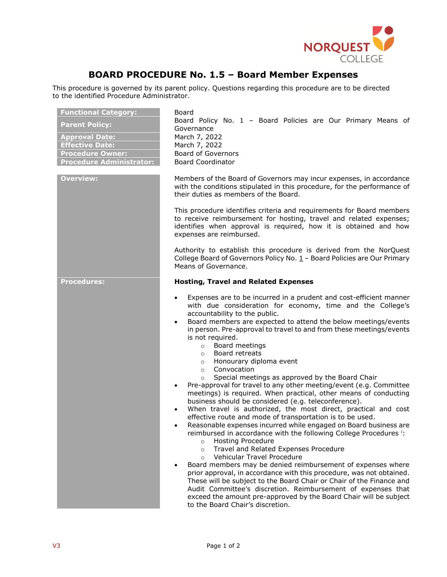

## **BOARD PROCEDURE No. 1.5 – Board Member Expenses**

This procedure is governed by its parent policy. Questions regarding this procedure are to be directed to the identified Procedure Administrator.

| <b>Functional Category:</b><br><b>Parent Policy:</b><br><b>Approval Date:</b><br><b>Effective Date:</b><br><b>Procedure Owner:</b><br><b>Procedure Administrator:</b> | Board<br>Board Policy No. 1 - Board Policies are Our Primary Means of<br>Governance<br>March 7, 2022<br>March 7, 2022<br><b>Board of Governors</b><br><b>Board Coordinator</b>                                                                                                                                                                                                                                                                                                                                                                                                                                                                                                                                                                                                                                                                                                                                                                                                                                                                                                                                                                                                                                                                                                                                                                                                                                                                                                                                                                                                   |
|-----------------------------------------------------------------------------------------------------------------------------------------------------------------------|----------------------------------------------------------------------------------------------------------------------------------------------------------------------------------------------------------------------------------------------------------------------------------------------------------------------------------------------------------------------------------------------------------------------------------------------------------------------------------------------------------------------------------------------------------------------------------------------------------------------------------------------------------------------------------------------------------------------------------------------------------------------------------------------------------------------------------------------------------------------------------------------------------------------------------------------------------------------------------------------------------------------------------------------------------------------------------------------------------------------------------------------------------------------------------------------------------------------------------------------------------------------------------------------------------------------------------------------------------------------------------------------------------------------------------------------------------------------------------------------------------------------------------------------------------------------------------|
| <b>Overview:</b>                                                                                                                                                      | Members of the Board of Governors may incur expenses, in accordance<br>with the conditions stipulated in this procedure, for the performance of<br>their duties as members of the Board.                                                                                                                                                                                                                                                                                                                                                                                                                                                                                                                                                                                                                                                                                                                                                                                                                                                                                                                                                                                                                                                                                                                                                                                                                                                                                                                                                                                         |
|                                                                                                                                                                       | This procedure identifies criteria and requirements for Board members<br>to receive reimbursement for hosting, travel and related expenses;<br>identifies when approval is required, how it is obtained and how<br>expenses are reimbursed.                                                                                                                                                                                                                                                                                                                                                                                                                                                                                                                                                                                                                                                                                                                                                                                                                                                                                                                                                                                                                                                                                                                                                                                                                                                                                                                                      |
|                                                                                                                                                                       | Authority to establish this procedure is derived from the NorQuest<br>College Board of Governors Policy No. $1 -$ Board Policies are Our Primary<br>Means of Governance.                                                                                                                                                                                                                                                                                                                                                                                                                                                                                                                                                                                                                                                                                                                                                                                                                                                                                                                                                                                                                                                                                                                                                                                                                                                                                                                                                                                                         |
| <b>Procedures:</b>                                                                                                                                                    | <b>Hosting, Travel and Related Expenses</b>                                                                                                                                                                                                                                                                                                                                                                                                                                                                                                                                                                                                                                                                                                                                                                                                                                                                                                                                                                                                                                                                                                                                                                                                                                                                                                                                                                                                                                                                                                                                      |
|                                                                                                                                                                       | Expenses are to be incurred in a prudent and cost-efficient manner<br>$\bullet$<br>with due consideration for economy, time and the College's<br>accountability to the public.<br>Board members are expected to attend the below meetings/events<br>$\bullet$<br>in person. Pre-approval to travel to and from these meetings/events<br>is not required.<br>Board meetings<br>$\circ$<br>Board retreats<br>$\circ$<br>Honourary diploma event<br>$\circ$<br>Convocation<br>$\circ$<br>Special meetings as approved by the Board Chair<br>$\circ$<br>Pre-approval for travel to any other meeting/event (e.g. Committee<br>$\bullet$<br>meetings) is required. When practical, other means of conducting<br>business should be considered (e.g. teleconference).<br>When travel is authorized, the most direct, practical and cost<br>$\bullet$<br>effective route and mode of transportation is to be used.<br>Reasonable expenses incurred while engaged on Board business are<br>reimbursed in accordance with the following College Procedures i:<br><b>Hosting Procedure</b><br>$\circ$<br>Travel and Related Expenses Procedure<br>$\circ$<br>Vehicular Travel Procedure<br>$\circ$<br>Board members may be denied reimbursement of expenses where<br>prior approval, in accordance with this procedure, was not obtained.<br>These will be subject to the Board Chair or Chair of the Finance and<br>Audit Committee's discretion. Reimbursement of expenses that<br>exceed the amount pre-approved by the Board Chair will be subject<br>to the Board Chair's discretion. |